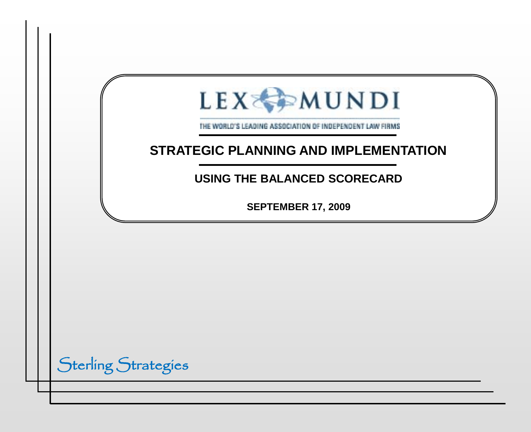| LEXEMUNDI<br>THE WORLD'S LEADING ASSOCIATION OF INDEPENDENT LAW FIRMS<br><b>STRATEGIC PLANNING AND IMPLEMENTATION</b> |  |
|-----------------------------------------------------------------------------------------------------------------------|--|
| <b>USING THE BALANCED SCORECARD</b>                                                                                   |  |
| <b>SEPTEMBER 17, 2009</b>                                                                                             |  |
|                                                                                                                       |  |
|                                                                                                                       |  |
|                                                                                                                       |  |
|                                                                                                                       |  |
| <b>Sterling Strategies</b>                                                                                            |  |
|                                                                                                                       |  |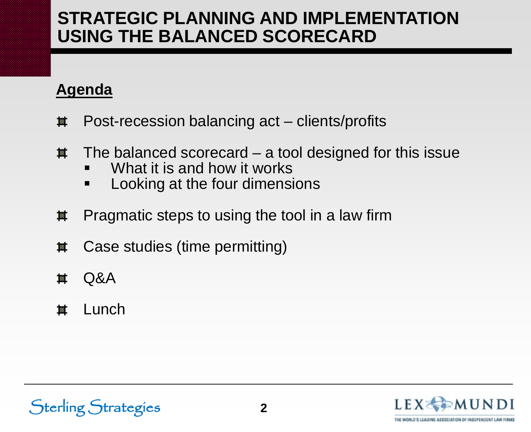## **Agenda**

- Post-recession balancing act clients/profits 茧
- The balanced scorecard a tool designed for this issue 耳
	- What it is and how it works
	- Looking at the four dimensions
- Pragmatic steps to using the tool in a law firm 其
- Case studies (time permitting) 茧
- Q&A 茧
- 亙 Lunch

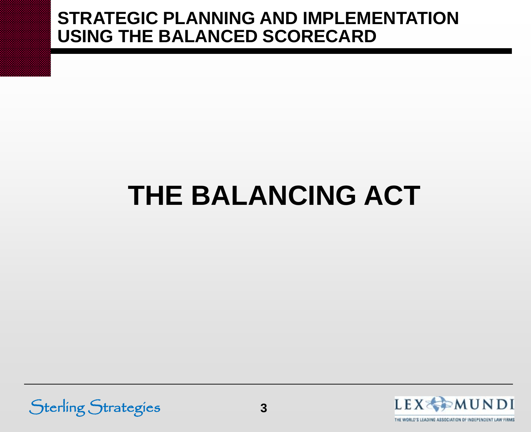# **THE BALANCING ACT**



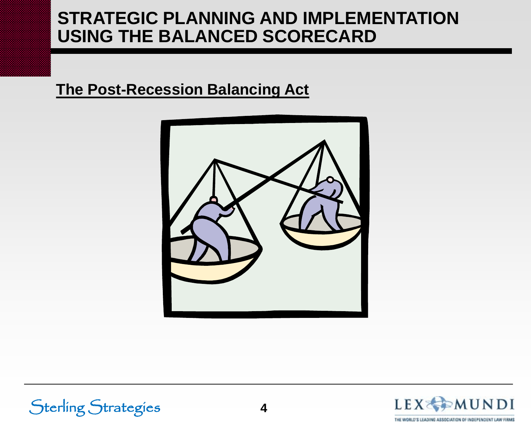#### **The Post-Recession Balancing Act**







THE WORLD'S LEADING ASSOCIATION OF INDEPENDENT LAW FIRMS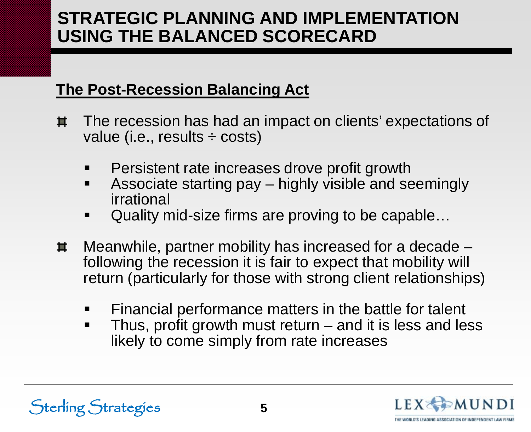#### **The Post-Recession Balancing Act**

- The recession has had an impact on clients' expectations of 苴 value (i.e., results ÷ costs)
	- Persistent rate increases drove profit growth
	- **Associate starting pay highly visible and seemingly** irrational
	- Quality mid-size firms are proving to be capable…
- Meanwhile, partner mobility has increased for a decade 其 following the recession it is fair to expect that mobility will return (particularly for those with strong client relationships)
	- Financial performance matters in the battle for talent
	- Thus, profit growth must return and it is less and less likely to come simply from rate increases



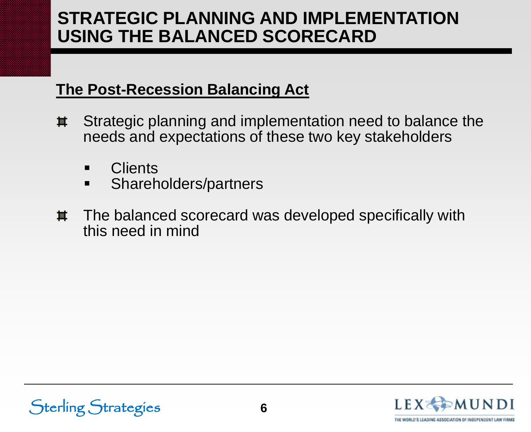#### **The Post-Recession Balancing Act**

- Strategic planning and implementation need to balance the 其 needs and expectations of these two key stakeholders
	- **Clients**
	- **Shareholders/partners**
- The balanced scorecard was developed specifically with 其 this need in mind



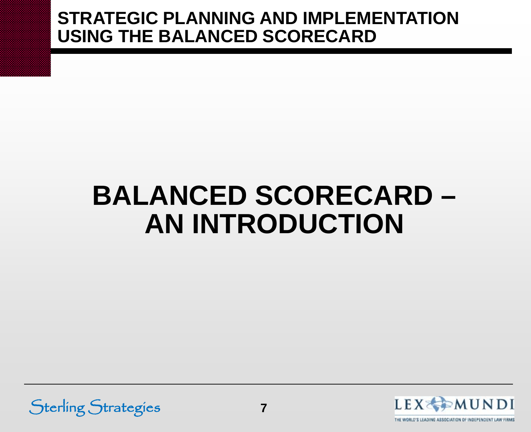## **BALANCED SCORECARD – AN INTRODUCTION**



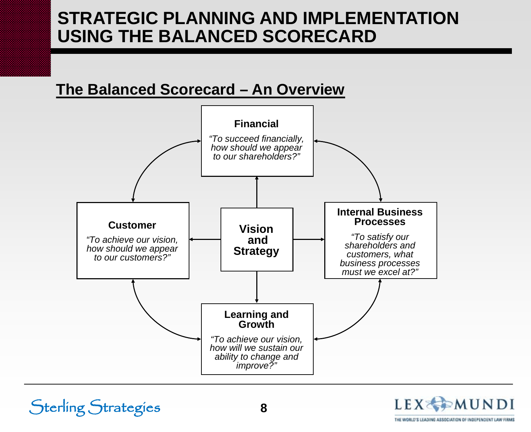#### **The Balanced Scorecard – An Overview**



**8**

Sterling Strategies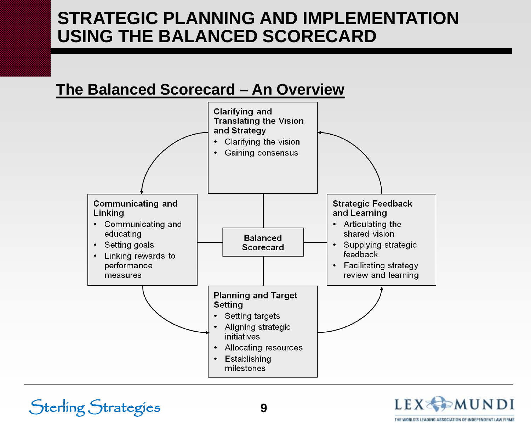#### **The Balanced Scorecard – An Overview**



Sterling Strategies **9**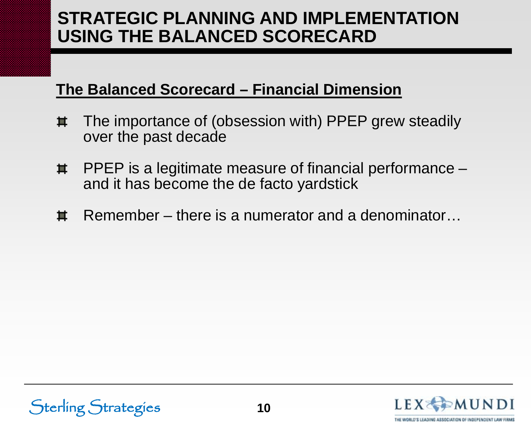#### **The Balanced Scorecard – Financial Dimension**

- The importance of (obsession with) PPEP grew steadily 其 over the past decade
- PPEP is a legitimate measure of financial performance 其 and it has become the de facto yardstick
- Remember there is a numerator and a denominator… 苴



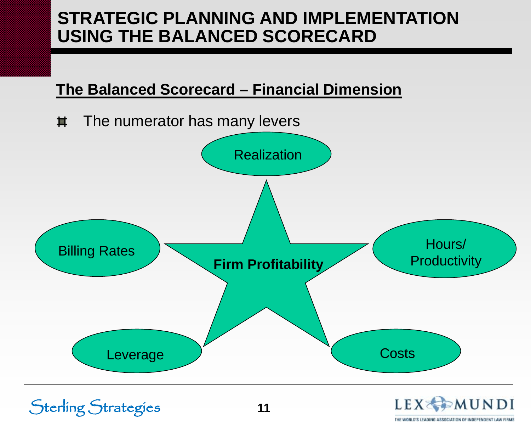#### **The Balanced Scorecard – Financial Dimension**

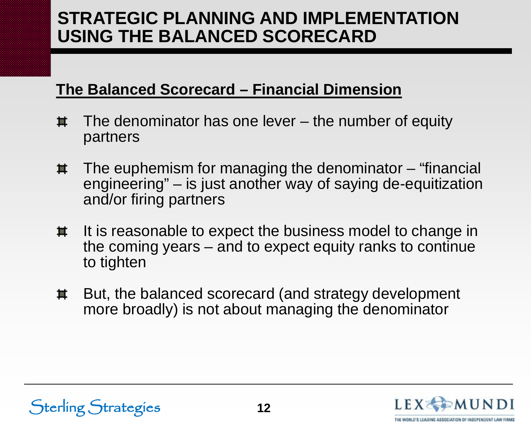#### **The Balanced Scorecard – Financial Dimension**

- The denominator has one lever the number of equity 茧 partners
- The euphemism for managing the denominator "financial 其 engineering" – is just another way of saying de-equitization and/or firing partners
- It is reasonable to expect the business model to change in 其 the coming years – and to expect equity ranks to continue to tighten
- But, the balanced scorecard (and strategy development 車 more broadly) is not about managing the denominator

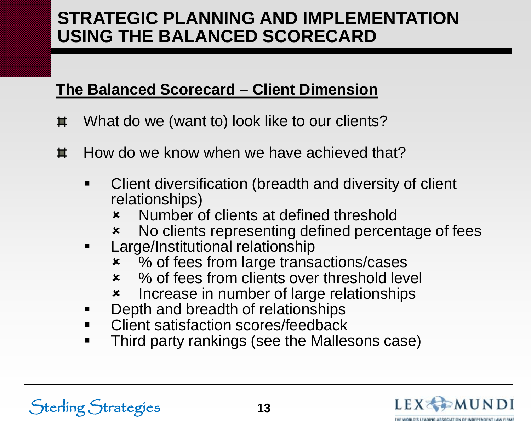#### **The Balanced Scorecard – Client Dimension**

- What do we (want to) look like to our clients? 苴
- How do we know when we have achieved that? 苴
	- **EXEC** Client diversification (breadth and diversity of client relationships)
		- Number of clients at defined threshold
		- No clients representing defined percentage of fees
	- **EXEC** Large/Institutional relationship
		- % of fees from large transactions/cases
		- **\*** % of fees from clients over threshold level
		- **\*** Increase in number of large relationships
	- Depth and breadth of relationships
	- Client satisfaction scores/feedback
	- Third party rankings (see the Mallesons case)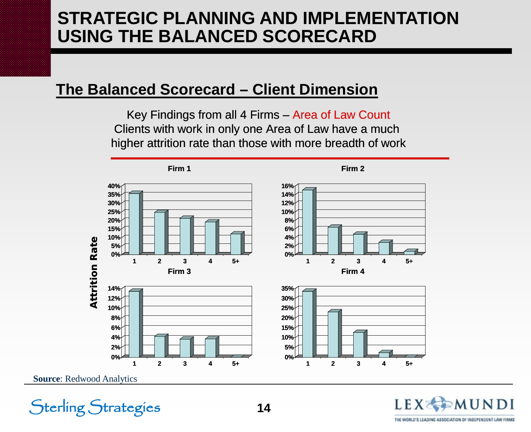#### **The Balanced Scorecard – Client Dimension**

Key Findings from all 4 Firms – Area of Law Count Clients with work in only one Area of Law have a much higher attrition rate than those with more breadth of work



**Source**: Redwood Analytics

Sterling Strategies

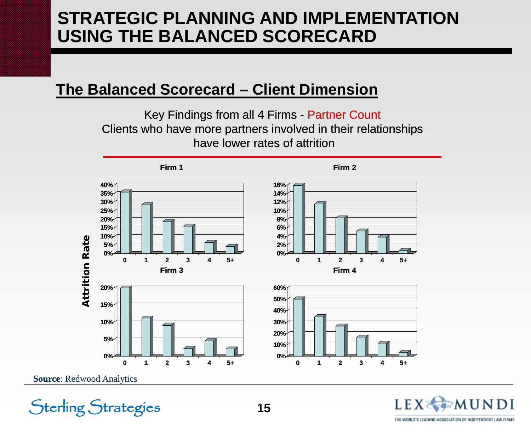#### **The Balanced Scorecard – Client Dimension**

Key Findings from all 4 Firms - Partner Count Clients who have more partners involved in their relationships have lower rates of attrition



**Source**: Redwood Analytics

Sterling Strategies

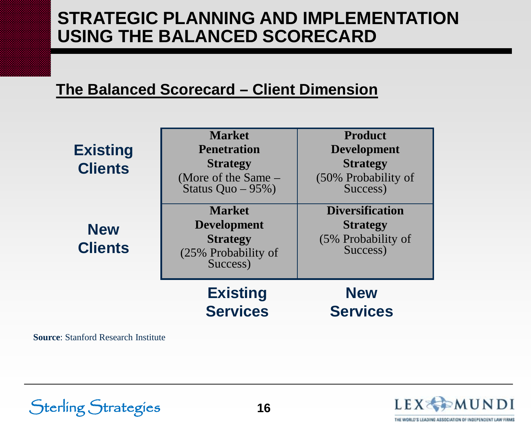#### **The Balanced Scorecard – Client Dimension**

| <b>Existing</b><br><b>Clients</b> | <b>Market</b><br><b>Penetration</b><br><b>Strategy</b><br>(More of the Same –<br>Status Quo $-95\%$ ) | <b>Product</b><br><b>Development</b><br><b>Strategy</b><br>(50% Probability of<br>Success) |
|-----------------------------------|-------------------------------------------------------------------------------------------------------|--------------------------------------------------------------------------------------------|
| <b>New</b><br><b>Clients</b>      | <b>Market</b><br><b>Development</b><br><b>Strategy</b><br>(25% Probability of<br>Success)             | <b>Diversification</b><br><b>Strategy</b><br>(5% Probability of<br>Success)                |
|                                   | <b>Existing</b><br><b>Services</b>                                                                    | <b>New</b><br><b>Services</b>                                                              |

**Source**: Stanford Research Institute

Sterling Strategies

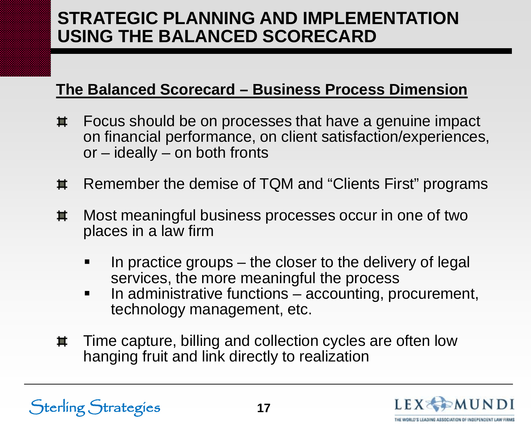#### **The Balanced Scorecard – Business Process Dimension**

- Focus should be on processes that have a genuine impact 其 on financial performance, on client satisfaction/experiences, or – ideally – on both fronts
- Remember the demise of TQM and "Clients First" programs 茧
- Most meaningful business processes occur in one of two 其 places in a law firm
	- In practice groups the closer to the delivery of legal services, the more meaningful the process
	- In administrative functions accounting, procurement, technology management, etc.
- Time capture, billing and collection cycles are often low 車 hanging fruit and link directly to realization



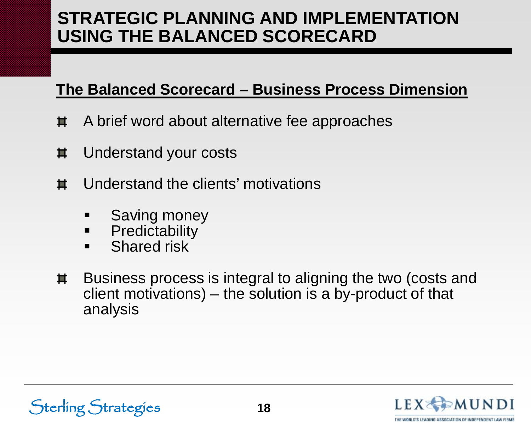#### **The Balanced Scorecard – Business Process Dimension**

- A brief word about alternative fee approaches 苴
- Understand your costs 其
- Understand the clients' motivations 茧
	- Saving money
	- **Predictability**
	- **Shared risk**
- Business process is integral to aligning the two (costs and 其 client motivations) – the solution is a by-product of that analysis

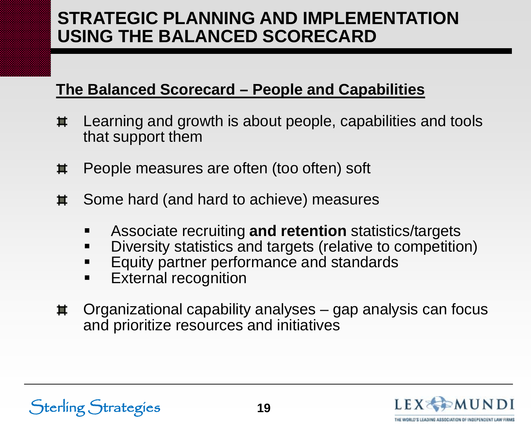#### **The Balanced Scorecard – People and Capabilities**

- Learning and growth is about people, capabilities and tools 其 that support them
- People measures are often (too often) soft 其
- 其 Some hard (and hard to achieve) measures
	- Associate recruiting **and retention** statistics/targets
	- Diversity statistics and targets (relative to competition)
	- Equity partner performance and standards
	- **External recognition**
- Organizational capability analyses gap analysis can focus 耳 and prioritize resources and initiatives

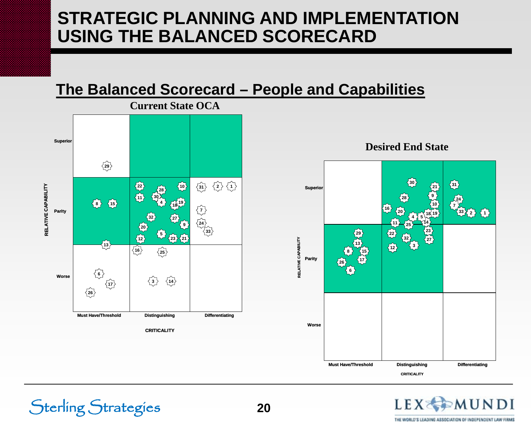#### **The Balanced Scorecard – People and Capabilities**



Sterling Strategies



LEX<sub>3</sub>

THE WORLD'S LEADING ASSOCIATION OF INDEPENDENT LAW FIRMS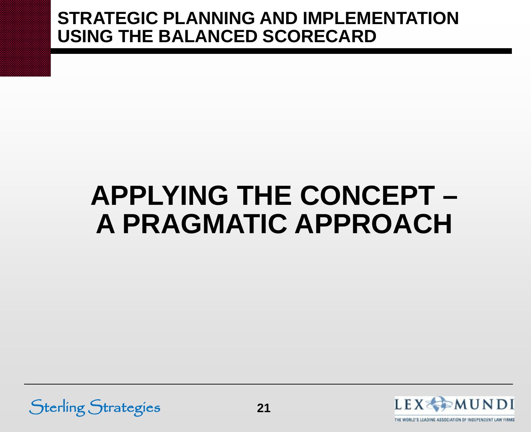## **APPLYING THE CONCEPT – A PRAGMATIC APPROACH**



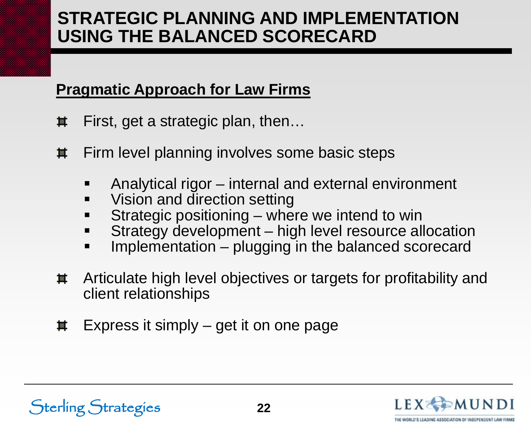#### **Pragmatic Approach for Law Firms**

- First, get a strategic plan, then… 苴
- Firm level planning involves some basic steps 其
	- Analytical rigor internal and external environment
	- Vision and direction setting
	- Strategic positioning where we intend to win
	- Strategy development high level resource allocation
	- **Implementation** plugging in the balanced scorecard
- Articulate high level objectives or targets for profitability and 耳 client relationships
- Express it simply get it on one page 其

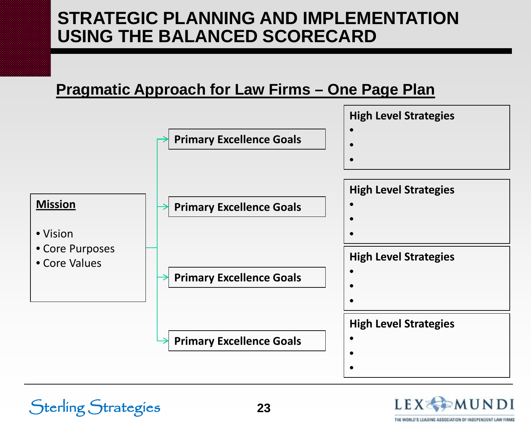#### **Pragmatic Approach for Law Firms – One Page Plan**



**23**

Sterling Strategies

**LEX SEMUN** 

THE WORLD'S LEADING ASSOCIATION OF INDEPENDENT LAW FIR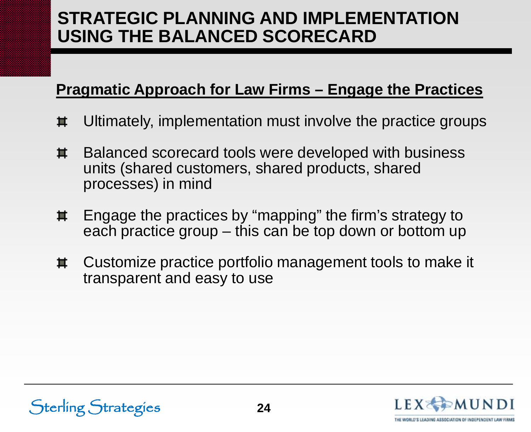#### **Pragmatic Approach for Law Firms – Engage the Practices**

- Ultimately, implementation must involve the practice groups 苴
- Balanced scorecard tools were developed with business 車 units (shared customers, shared products, shared processes) in mind
- Engage the practices by "mapping" the firm's strategy to 車 each practice group – this can be top down or bottom up
- Customize practice portfolio management tools to make it 車 transparent and easy to use

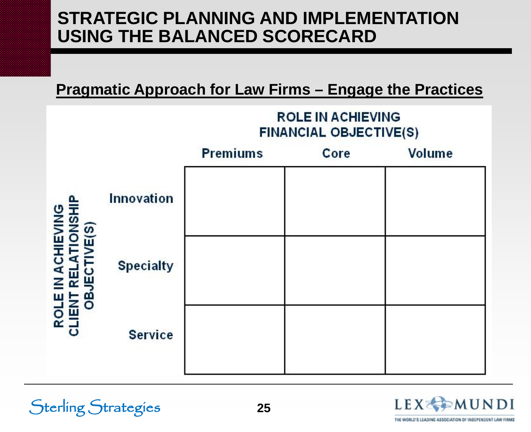#### **Pragmatic Approach for Law Firms – Engage the Practices**



Sterling Strategies **25**

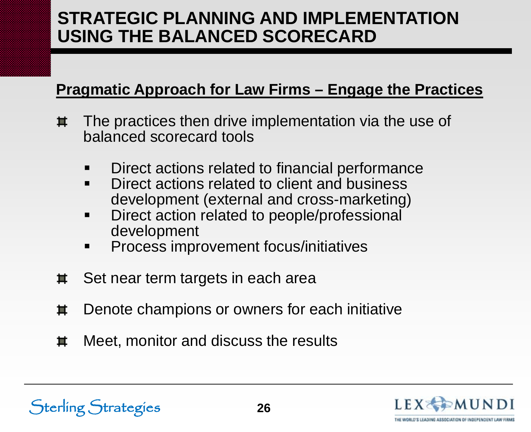#### **Pragmatic Approach for Law Firms – Engage the Practices**

- The practices then drive implementation via the use of 其 balanced scorecard tools
	- Direct actions related to financial performance
	- **Direct actions related to client and business** development (external and cross-marketing)
	- Direct action related to people/professional development
	- **Process improvement focus/initiatives**
- Set near term targets in each area 苴
- Denote champions or owners for each initiative 其
- Meet, monitor and discuss the results 苴

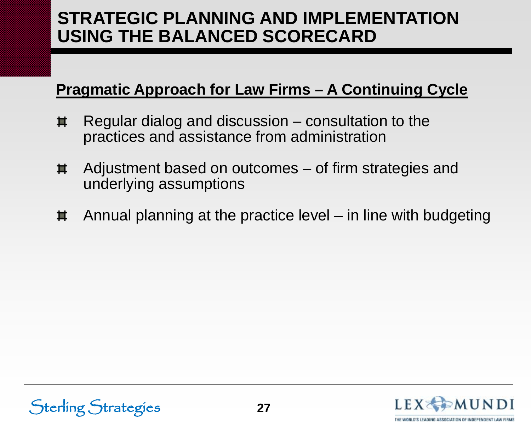#### **Pragmatic Approach for Law Firms – A Continuing Cycle**

- Regular dialog and discussion consultation to the 苴 practices and assistance from administration
- Adjustment based on outcomes of firm strategies and 其 underlying assumptions
- Annual planning at the practice level in line with budgeting 其





THE WORLD'S LEADING ASSOCIATION OF INDEPENDENT LAW I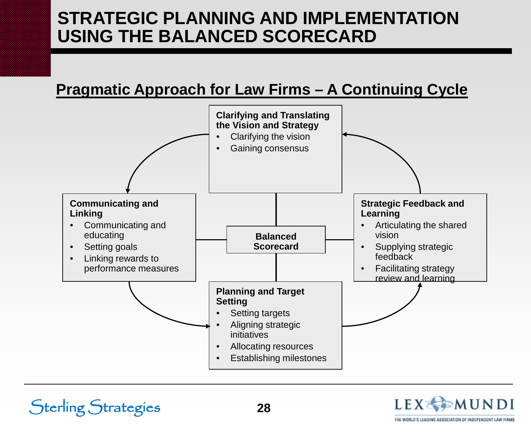#### **Pragmatic Approach for Law Firms – A Continuing Cycle**



**28**

Sterling Strategies

LEXXMUNDI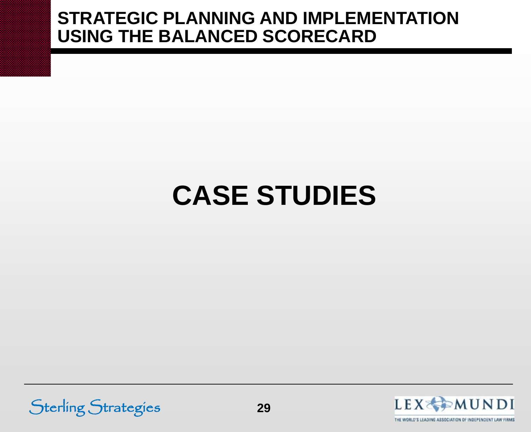# **CASE STUDIES**